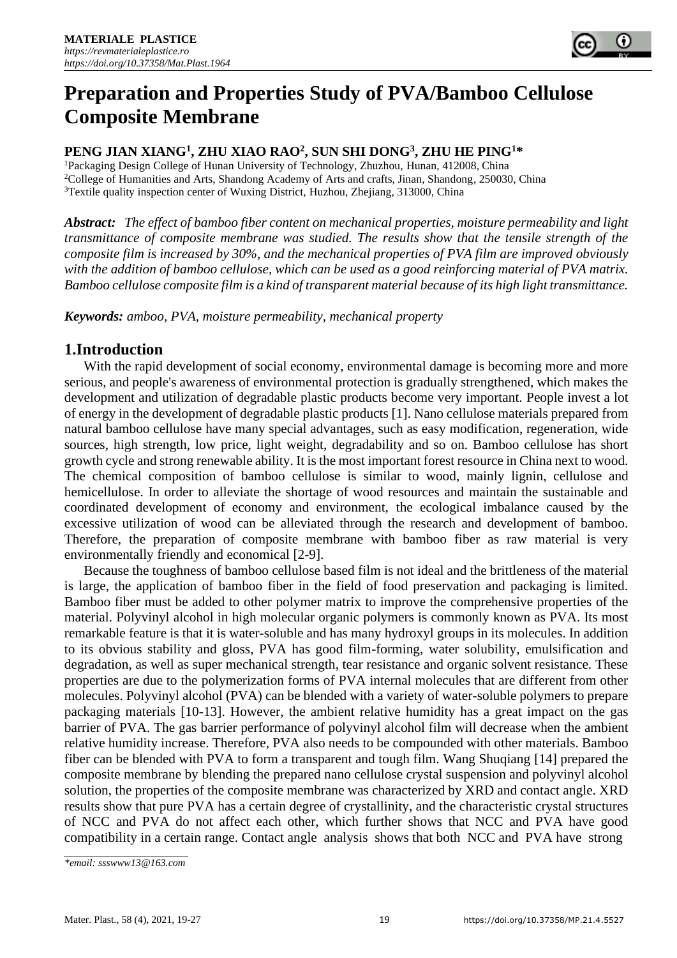

# **Preparation and Properties Study of PVA/Bamboo Cellulose Composite Membrane**

# **PENG JIAN XIANG<sup>1</sup> , ZHU XIAO RAO<sup>2</sup> , SUN SHI DONG<sup>3</sup> , ZHU HE PING<sup>1</sup>\***

<sup>1</sup>Packaging Design College of Hunan University of Technology, Zhuzhou, Hunan, 412008, China <sup>2</sup>College of Humanities and Arts, Shandong Academy of Arts and crafts, Jinan, Shandong, 250030, China <sup>3</sup>Textile quality inspection center of Wuxing District, Huzhou, Zhejiang, 313000, China

*Abstract: The effect of bamboo fiber content on mechanical properties, moisture permeability and light transmittance of composite membrane was studied. The results show that the tensile strength of the composite film is increased by 30%, and the mechanical properties of PVA film are improved obviously with the addition of bamboo cellulose, which can be used as a good reinforcing material of PVA matrix. Bamboo cellulose composite film is a kind of transparent material because of its high light transmittance.*

*Keywords: amboo, PVA, moisture permeability, mechanical property*

# **1.Introduction**

With the rapid development of social economy, environmental damage is becoming more and more serious, and people's awareness of environmental protection is gradually strengthened, which makes the development and utilization of degradable plastic products become very important. People invest a lot of energy in the development of degradable plastic products [1]. Nano cellulose materials prepared from natural bamboo cellulose have many special advantages, such as easy modification, regeneration, wide sources, high strength, low price, light weight, degradability and so on. Bamboo cellulose has short growth cycle and strong renewable ability. It is the most important forest resource in China next to wood. The chemical composition of bamboo cellulose is similar to wood, mainly lignin, cellulose and hemicellulose. In order to alleviate the shortage of wood resources and maintain the sustainable and coordinated development of economy and environment, the ecological imbalance caused by the excessive utilization of wood can be alleviated through the research and development of bamboo. Therefore, the preparation of composite membrane with bamboo fiber as raw material is very environmentally friendly and economical [2-9].

Because the toughness of bamboo cellulose based film is not ideal and the brittleness of the material is large, the application of bamboo fiber in the field of food preservation and packaging is limited. Bamboo fiber must be added to other polymer matrix to improve the comprehensive properties of the material. Polyvinyl alcohol in high molecular organic polymers is commonly known as PVA. Its most remarkable feature is that it is water-soluble and has many hydroxyl groups in its molecules. In addition to its obvious stability and gloss, PVA has good film-forming, water solubility, emulsification and degradation, as well as super mechanical strength, tear resistance and organic solvent resistance. These properties are due to the polymerization forms of PVA internal molecules that are different from other molecules. Polyvinyl alcohol (PVA) can be blended with a variety of water-soluble polymers to prepare packaging materials [10-13]. However, the ambient relative humidity has a great impact on the gas barrier of PVA. The gas barrier performance of polyvinyl alcohol film will decrease when the ambient relative humidity increase. Therefore, PVA also needs to be compounded with other materials. Bamboo fiber can be blended with PVA to form a transparent and tough film. Wang Shuqiang [14] prepared the composite membrane by blending the prepared nano cellulose crystal suspension and polyvinyl alcohol solution, the properties of the composite membrane was characterized by XRD and contact angle. XRD results show that pure PVA has a certain degree of crystallinity, and the characteristic crystal structures of NCC and PVA do not affect each other, which further shows that NCC and PVA have good compatibility in a certain range. Contact angle analysis shows that both NCC and PVA have strong

*<sup>\*</sup>email[: ssswww13@163.com](mailto:ssswww13@163.com)*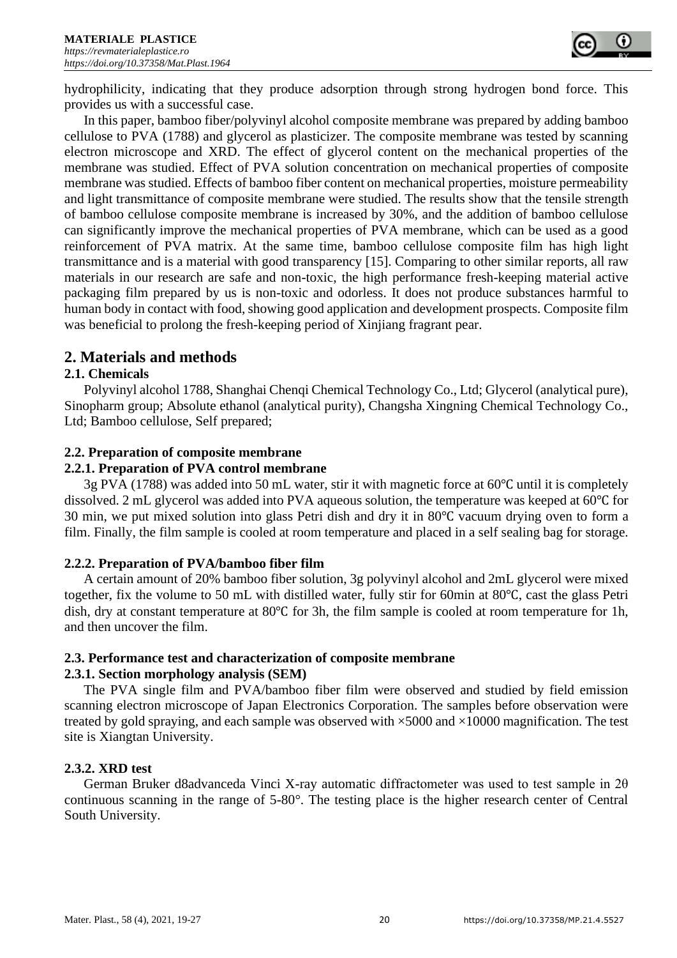

hydrophilicity, indicating that they produce adsorption through strong hydrogen bond force. This provides us with a successful case.

In this paper, bamboo fiber/polyvinyl alcohol composite membrane was prepared by adding bamboo cellulose to PVA (1788) and glycerol as plasticizer. The composite membrane was tested by scanning electron microscope and XRD. The effect of glycerol content on the mechanical properties of the membrane was studied. Effect of PVA solution concentration on mechanical properties of composite membrane was studied. Effects of bamboo fiber content on mechanical properties, moisture permeability and light transmittance of composite membrane were studied. The results show that the tensile strength of bamboo cellulose composite membrane is increased by 30%, and the addition of bamboo cellulose can significantly improve the mechanical properties of PVA membrane, which can be used as a good reinforcement of PVA matrix. At the same time, bamboo cellulose composite film has high light transmittance and is a material with good transparency [15]. Comparing to other similar reports, all raw materials in our research are safe and non-toxic, the high performance fresh-keeping material active packaging film prepared by us is non-toxic and odorless. It does not produce substances harmful to human body in contact with food, showing good application and development prospects. Composite film was beneficial to prolong the fresh-keeping period of Xinjiang fragrant pear.

# **2. Materials and methods**

# **2.1. Chemicals**

Polyvinyl alcohol 1788, Shanghai Chenqi Chemical Technology Co., Ltd; Glycerol (analytical pure), Sinopharm group; Absolute ethanol (analytical purity), Changsha Xingning Chemical Technology Co., Ltd; Bamboo cellulose, Self prepared;

# **2.2. Preparation of composite membrane**

## **2.2.1. Preparation of PVA control membrane**

3g PVA (1788) was added into 50 mL water, stir it with magnetic force at 60℃ until it is completely dissolved. 2 mL glycerol was added into PVA aqueous solution, the temperature was keeped at 60℃ for 30 min, we put mixed solution into glass Petri dish and dry it in 80℃ vacuum drying oven to form a film. Finally, the film sample is cooled at room temperature and placed in a self sealing bag for storage.

## **2.2.2. Preparation of PVA/bamboo fiber film**

A certain amount of 20% bamboo fiber solution, 3g polyvinyl alcohol and 2mL glycerol were mixed together, fix the volume to 50 mL with distilled water, fully stir for 60min at 80℃, cast the glass Petri dish, dry at constant temperature at 80℃ for 3h, the film sample is cooled at room temperature for 1h, and then uncover the film.

# **2.3. Performance test and characterization of composite membrane**

## **2.3.1. Section morphology analysis (SEM)**

The PVA single film and PVA/bamboo fiber film were observed and studied by field emission scanning electron microscope of Japan Electronics Corporation. The samples before observation were treated by gold spraying, and each sample was observed with  $\times$ 5000 and  $\times$ 10000 magnification. The test site is Xiangtan University.

# **2.3.2. XRD test**

German Bruker d8advanceda Vinci X-ray automatic diffractometer was used to test sample in 2θ continuous scanning in the range of 5-80°. The testing place is the higher research center of Central South University.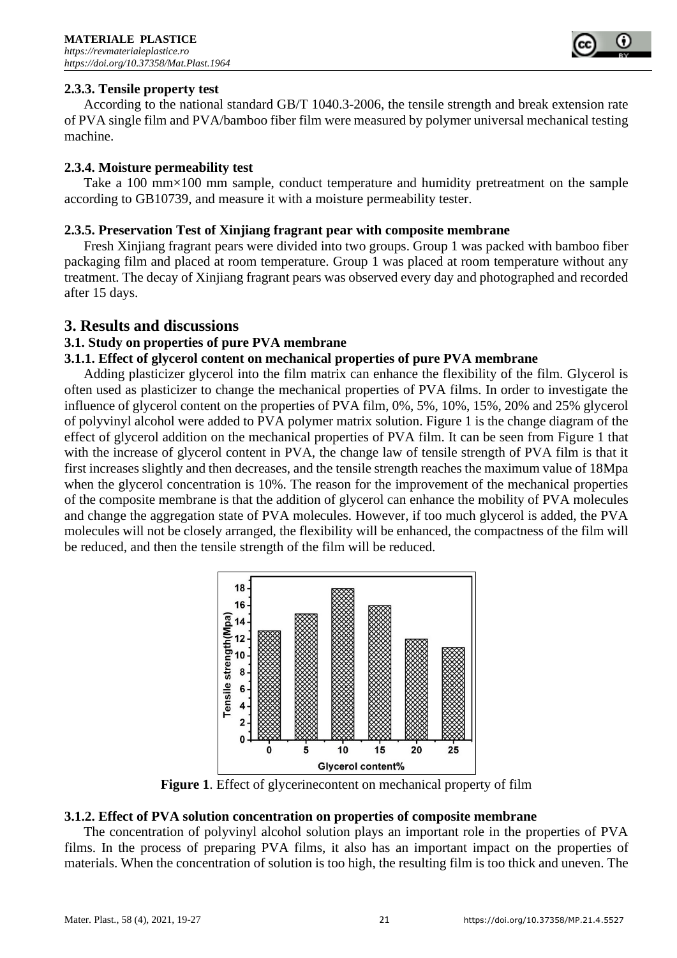

## **2.3.3. Tensile property test**

According to the national standard GB/T 1040.3-2006, the tensile strength and break extension rate of PVA single film and PVA/bamboo fiber film were measured by polymer universal mechanical testing machine.

## **2.3.4. Moisture permeability test**

Take a 100 mm×100 mm sample, conduct temperature and humidity pretreatment on the sample according to GB10739, and measure it with a moisture permeability tester.

## **2.3.5. Preservation Test of Xinjiang fragrant pear with composite membrane**

Fresh Xinjiang fragrant pears were divided into two groups. Group 1 was packed with bamboo fiber packaging film and placed at room temperature. Group 1 was placed at room temperature without any treatment. The decay of Xinjiang fragrant pears was observed every day and photographed and recorded after 15 days.

# **3. Results and discussions**

## **3.1. Study on properties of pure PVA membrane**

## **3.1.1. Effect of glycerol content on mechanical properties of pure PVA membrane**

Adding plasticizer glycerol into the film matrix can enhance the flexibility of the film. Glycerol is often used as plasticizer to change the mechanical properties of PVA films. In order to investigate the influence of glycerol content on the properties of PVA film, 0%, 5%, 10%, 15%, 20% and 25% glycerol of polyvinyl alcohol were added to PVA polymer matrix solution. Figure 1 is the change diagram of the effect of glycerol addition on the mechanical properties of PVA film. It can be seen from Figure 1 that with the increase of glycerol content in PVA, the change law of tensile strength of PVA film is that it first increases slightly and then decreases, and the tensile strength reaches the maximum value of 18Mpa when the glycerol concentration is 10%. The reason for the improvement of the mechanical properties of the composite membrane is that the addition of glycerol can enhance the mobility of PVA molecules and change the aggregation state of PVA molecules. However, if too much glycerol is added, the PVA molecules will not be closely arranged, the flexibility will be enhanced, the compactness of the film will be reduced, and then the tensile strength of the film will be reduced.



**Figure 1**. Effect of glycerinecontent on mechanical property of film

## **3.1.2. Effect of PVA solution concentration on properties of composite membrane**

The concentration of polyvinyl alcohol solution plays an important role in the properties of PVA films. In the process of preparing PVA films, it also has an important impact on the properties of materials. When the concentration of solution is too high, the resulting film is too thick and uneven. The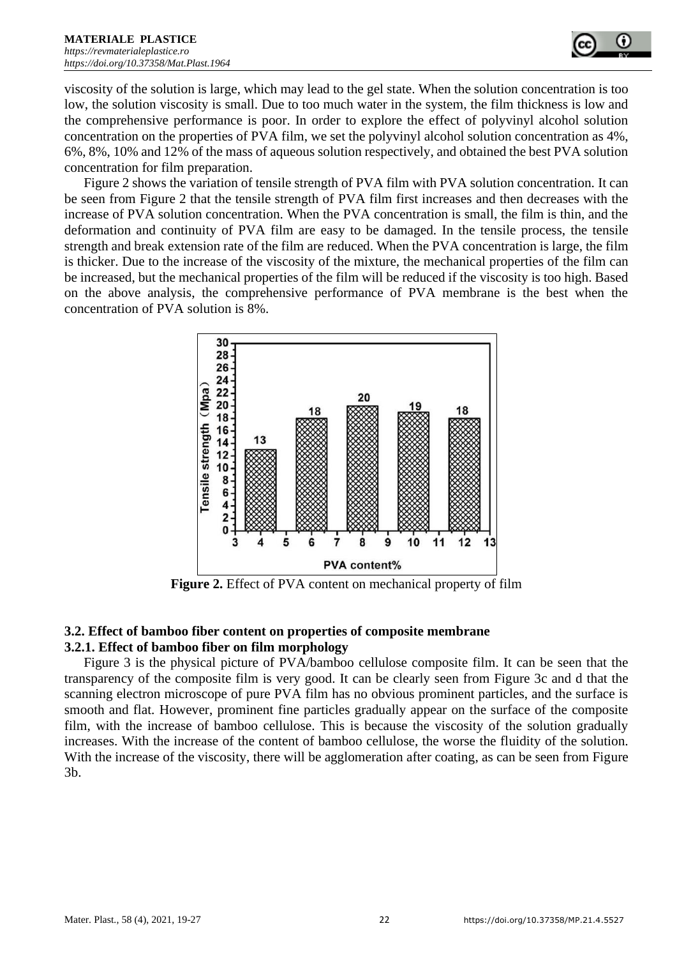

viscosity of the solution is large, which may lead to the gel state. When the solution concentration is too low, the solution viscosity is small. Due to too much water in the system, the film thickness is low and the comprehensive performance is poor. In order to explore the effect of polyvinyl alcohol solution concentration on the properties of PVA film, we set the polyvinyl alcohol solution concentration as 4%, 6%, 8%, 10% and 12% of the mass of aqueous solution respectively, and obtained the best PVA solution concentration for film preparation.

Figure 2 shows the variation of tensile strength of PVA film with PVA solution concentration. It can be seen from Figure 2 that the tensile strength of PVA film first increases and then decreases with the increase of PVA solution concentration. When the PVA concentration is small, the film is thin, and the deformation and continuity of PVA film are easy to be damaged. In the tensile process, the tensile strength and break extension rate of the film are reduced. When the PVA concentration is large, the film is thicker. Due to the increase of the viscosity of the mixture, the mechanical properties of the film can be increased, but the mechanical properties of the film will be reduced if the viscosity is too high. Based on the above analysis, the comprehensive performance of PVA membrane is the best when the concentration of PVA solution is 8%.



**Figure 2.** Effect of PVA content on mechanical property of film

# **3.2. Effect of bamboo fiber content on properties of composite membrane 3.2.1. Effect of bamboo fiber on film morphology**

Figure 3 is the physical picture of PVA/bamboo cellulose composite film. It can be seen that the transparency of the composite film is very good. It can be clearly seen from Figure 3c and d that the scanning electron microscope of pure PVA film has no obvious prominent particles, and the surface is smooth and flat. However, prominent fine particles gradually appear on the surface of the composite film, with the increase of bamboo cellulose. This is because the viscosity of the solution gradually increases. With the increase of the content of bamboo cellulose, the worse the fluidity of the solution. With the increase of the viscosity, there will be agglomeration after coating, as can be seen from Figure 3b.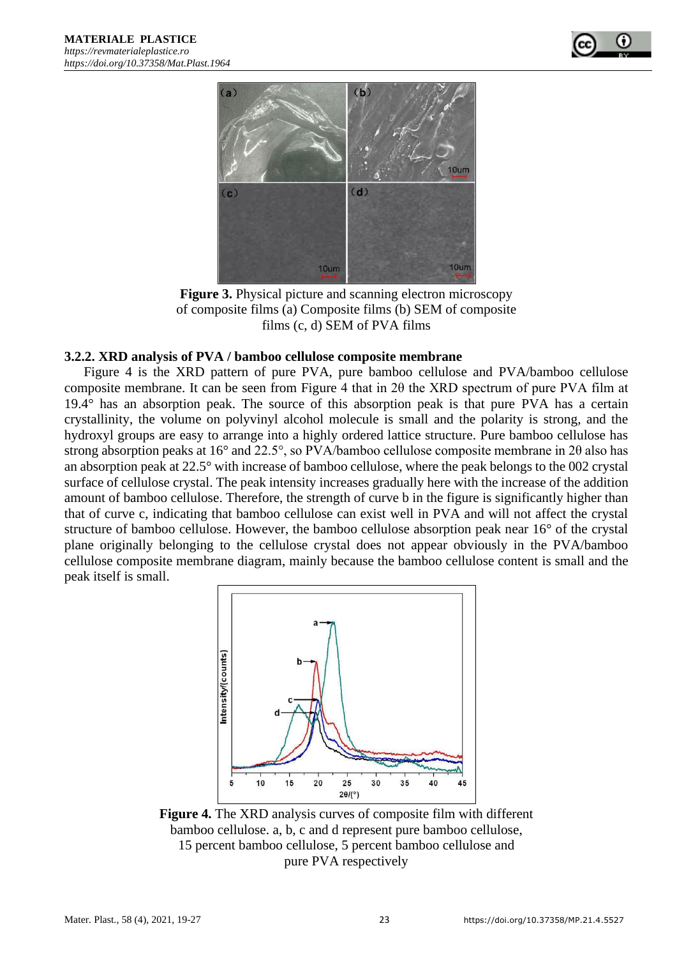



**Figure 3.** Physical picture and scanning electron microscopy of composite films (a) Composite films (b) SEM of composite films (c, d) SEM of PVA films

#### **3.2.2. XRD analysis of PVA / bamboo cellulose composite membrane**

Figure 4 is the XRD pattern of pure PVA, pure bamboo cellulose and PVA/bamboo cellulose composite membrane. It can be seen from Figure 4 that in 2θ the XRD spectrum of pure PVA film at 19.4° has an absorption peak. The source of this absorption peak is that pure PVA has a certain crystallinity, the volume on polyvinyl alcohol molecule is small and the polarity is strong, and the hydroxyl groups are easy to arrange into a highly ordered lattice structure. Pure bamboo cellulose has strong absorption peaks at 16° and 22.5°, so PVA/bamboo cellulose composite membrane in 2θ also has an absorption peak at 22.5° with increase of bamboo cellulose, where the peak belongs to the 002 crystal surface of cellulose crystal. The peak intensity increases gradually here with the increase of the addition amount of bamboo cellulose. Therefore, the strength of curve b in the figure is significantly higher than that of curve c, indicating that bamboo cellulose can exist well in PVA and will not affect the crystal structure of bamboo cellulose. However, the bamboo cellulose absorption peak near 16° of the crystal plane originally belonging to the cellulose crystal does not appear obviously in the PVA/bamboo cellulose composite membrane diagram, mainly because the bamboo cellulose content is small and the peak itself is small.



**Figure 4.** The XRD analysis curves of composite film with different bamboo cellulose. a, b, c and d represent pure bamboo cellulose, 15 percent bamboo cellulose, 5 percent bamboo cellulose and pure PVA respectively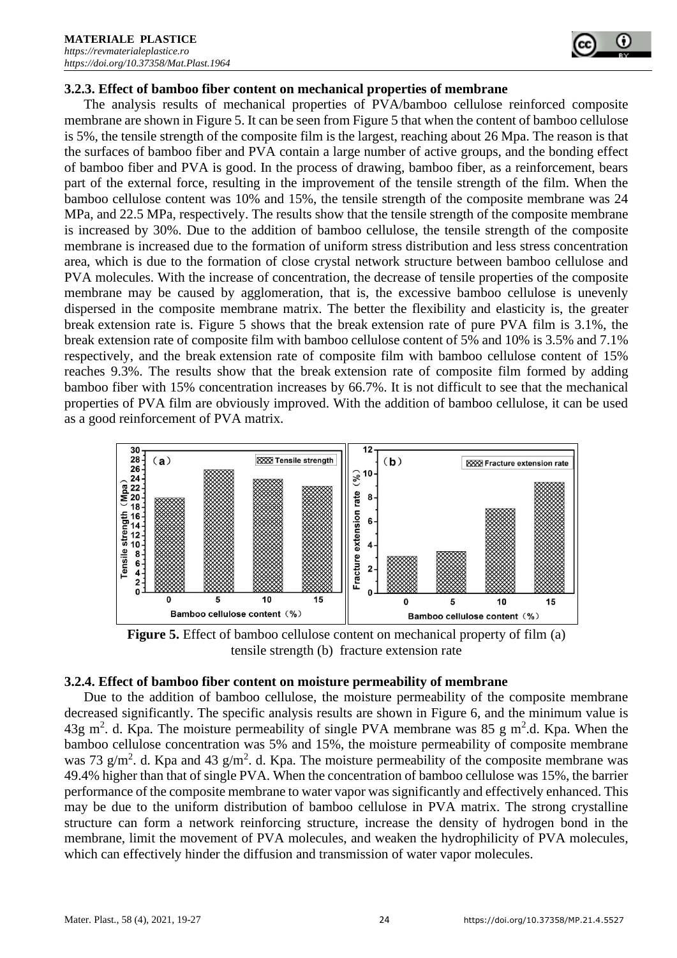

The analysis results of mechanical properties of PVA/bamboo cellulose reinforced composite membrane are shown in Figure 5. It can be seen from Figure 5 that when the content of bamboo cellulose is 5%, the tensile strength of the composite film is the largest, reaching about 26 Mpa. The reason is that the surfaces of bamboo fiber and PVA contain a large number of active groups, and the bonding effect of bamboo fiber and PVA is good. In the process of drawing, bamboo fiber, as a reinforcement, bears part of the external force, resulting in the improvement of the tensile strength of the film. When the bamboo cellulose content was 10% and 15%, the tensile strength of the composite membrane was 24 MPa, and 22.5 MPa, respectively. The results show that the tensile strength of the composite membrane is increased by 30%. Due to the addition of bamboo cellulose, the tensile strength of the composite membrane is increased due to the formation of uniform stress distribution and less stress concentration area, which is due to the formation of close crystal network structure between bamboo cellulose and PVA molecules. With the increase of concentration, the decrease of tensile properties of the composite membrane may be caused by agglomeration, that is, the excessive bamboo cellulose is unevenly dispersed in the composite membrane matrix. The better the flexibility and elasticity is, the greater break extension rate is. Figure 5 shows that the break extension rate of pure PVA film is 3.1%, the break extension rate of composite film with bamboo cellulose content of 5% and 10% is 3.5% and 7.1% respectively, and the break extension rate of composite film with bamboo cellulose content of 15% reaches 9.3%. The results show that the break extension rate of composite film formed by adding bamboo fiber with 15% concentration increases by 66.7%. It is not difficult to see that the mechanical properties of PVA film are obviously improved. With the addition of bamboo cellulose, it can be used as a good reinforcement of PVA matrix.



**Figure 5.** Effect of bamboo cellulose content on mechanical property of film (a) tensile strength (b) fracture extension rate

## **3.2.4. Effect of bamboo fiber content on moisture permeability of membrane**

Due to the addition of bamboo cellulose, the moisture permeability of the composite membrane decreased significantly. The specific analysis results are shown in Figure 6, and the minimum value is 43g m<sup>2</sup>. d. Kpa. The moisture permeability of single PVA membrane was 85 g m<sup>2</sup>.d. Kpa. When the bamboo cellulose concentration was 5% and 15%, the moisture permeability of composite membrane was 73 g/m<sup>2</sup>. d. Kpa and 43 g/m<sup>2</sup>. d. Kpa. The moisture permeability of the composite membrane was 49.4% higher than that of single PVA. When the concentration of bamboo cellulose was 15%, the barrier performance of the composite membrane to water vapor was significantly and effectively enhanced. This may be due to the uniform distribution of bamboo cellulose in PVA matrix. The strong crystalline structure can form a network reinforcing structure, increase the density of hydrogen bond in the membrane, limit the movement of PVA molecules, and weaken the hydrophilicity of PVA molecules, which can effectively hinder the diffusion and transmission of water vapor molecules.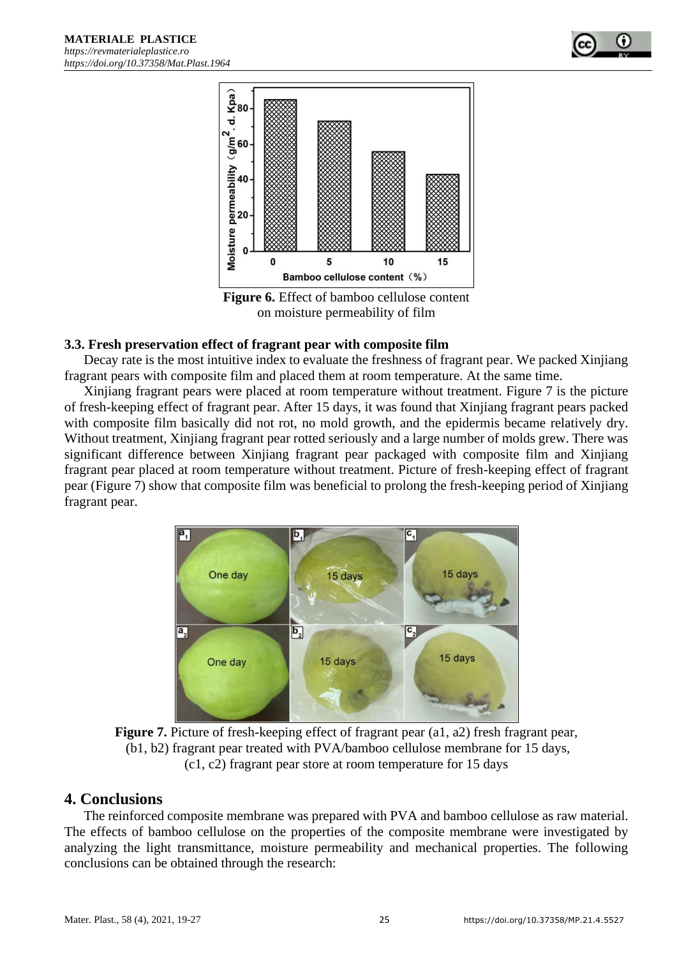

**Figure 6.** Effect of bamboo cellulose content on moisture permeability of film

#### **3.3. Fresh preservation effect of fragrant pear with composite film**

Decay rate is the most intuitive index to evaluate the freshness of fragrant pear. We packed Xinjiang fragrant pears with composite film and placed them at room temperature. At the same time.

Xinjiang fragrant pears were placed at room temperature without treatment. Figure 7 is the picture of fresh-keeping effect of fragrant pear. After 15 days, it was found that Xinjiang fragrant pears packed with composite film basically did not rot, no mold growth, and the epidermis became relatively dry. Without treatment, Xinjiang fragrant pear rotted seriously and a large number of molds grew. There was significant difference between Xinjiang fragrant pear packaged with composite film and Xinjiang fragrant pear placed at room temperature without treatment. Picture of fresh-keeping effect of fragrant pear (Figure 7) show that composite film was beneficial to prolong the fresh-keeping period of Xinjiang fragrant pear.



**Figure 7.** Picture of fresh-keeping effect of fragrant pear (a1, a2) fresh fragrant pear, (b1, b2) fragrant pear treated with PVA/bamboo cellulose membrane for 15 days, (c1, c2) fragrant pear store at room temperature for 15 days

# **4. Conclusions**

The reinforced composite membrane was prepared with PVA and bamboo cellulose as raw material. The effects of bamboo cellulose on the properties of the composite membrane were investigated by analyzing the light transmittance, moisture permeability and mechanical properties. The following conclusions can be obtained through the research: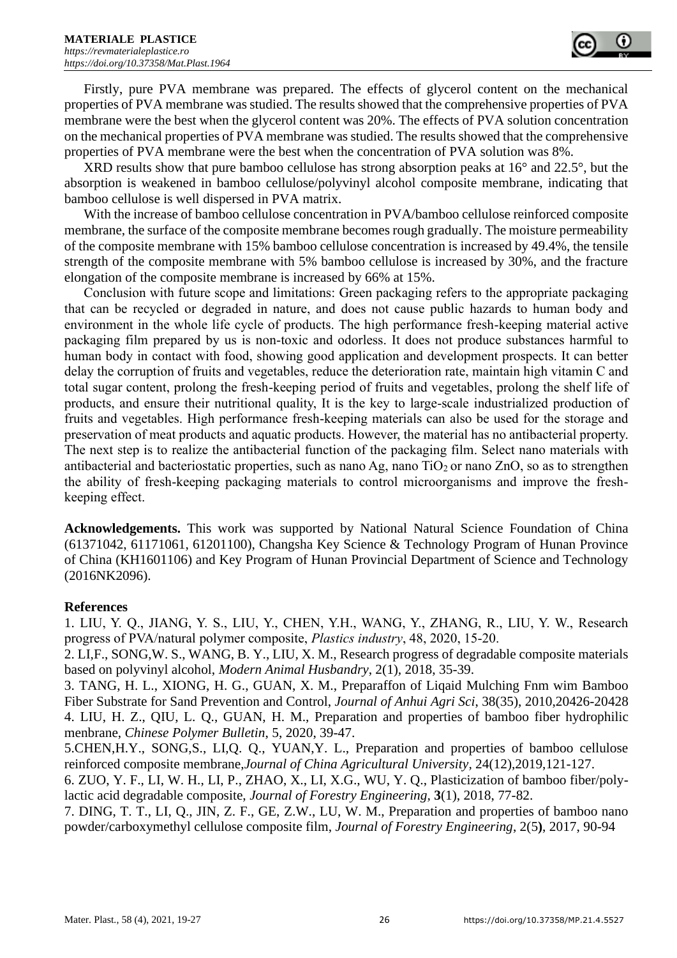

Firstly, pure PVA membrane was prepared. The effects of glycerol content on the mechanical properties of PVA membrane was studied. The results showed that the comprehensive properties of PVA membrane were the best when the glycerol content was 20%. The effects of PVA solution concentration on the mechanical properties of PVA membrane was studied. The results showed that the comprehensive properties of PVA membrane were the best when the concentration of PVA solution was 8%.

XRD results show that pure bamboo cellulose has strong absorption peaks at 16° and 22.5°, but the absorption is weakened in bamboo cellulose/polyvinyl alcohol composite membrane, indicating that bamboo cellulose is well dispersed in PVA matrix.

With the increase of bamboo cellulose concentration in PVA/bamboo cellulose reinforced composite membrane, the surface of the composite membrane becomes rough gradually. The moisture permeability of the composite membrane with 15% bamboo cellulose concentration is increased by 49.4%, the tensile strength of the composite membrane with 5% bamboo cellulose is increased by 30%, and the fracture elongation of the composite membrane is increased by 66% at 15%.

Conclusion with future scope and limitations: Green packaging refers to the appropriate packaging that can be recycled or degraded in nature, and does not cause public hazards to human body and environment in the whole life cycle of products. The high performance fresh-keeping material active packaging film prepared by us is non-toxic and odorless. It does not produce substances harmful to human body in contact with food, showing good application and development prospects. It can better delay the corruption of fruits and vegetables, reduce the deterioration rate, maintain high vitamin C and total sugar content, prolong the fresh-keeping period of fruits and vegetables, prolong the shelf life of products, and ensure their nutritional quality, It is the key to large-scale industrialized production of fruits and vegetables. High performance fresh-keeping materials can also be used for the storage and preservation of meat products and aquatic products. However, the material has no antibacterial property. The next step is to realize the antibacterial function of the packaging film. Select nano materials with antibacterial and bacteriostatic properties, such as nano Ag, nano  $TiO<sub>2</sub>$  or nano  $ZnO$ , so as to strengthen the ability of fresh-keeping packaging materials to control microorganisms and improve the freshkeeping effect.

**Acknowledgements.** This work was supported by National Natural Science Foundation of China (61371042, 61171061, 61201100), Changsha Key Science & Technology Program of Hunan Province of China (KH1601106) and Key Program of Hunan Provincial Department of Science and Technology (2016NK2096).

## **References**

1. LIU, Y. Q., JIANG, Y. S., LIU, Y., CHEN, Y.H., WANG, Y., ZHANG, R., LIU, Y. W., Research progress of PVA/natural polymer composite, *Plastics industry*, 48, 2020, 15-20.

2. LI,F., SONG,W. S., WANG, B. Y., LIU, X. M., Research progress of degradable composite materials based on polyvinyl alcohol, *[Modern Animal Husbandry](https://www.wanfangdata.com.cn/perio/detail.do?perio_id=zzmygcgdzkxxxb&perio_title=MODERN%20ANIMAL%20HUSBANDRY)*, [2\(1\)](https://www.wanfangdata.com.cn/perio/detail.do?perio_id=zzmygcgdzkxxxb&perio_title=%E7%8E%B0%E4%BB%A3%E7%89%A7%E4%B8%9A&publish_year=2018&issue_num=1&tabId=article)*,* 2018, 35-39.

3. TANG, H. L., XIONG, H. G., GUAN, X. M., Preparaffon of Liqaid Mulching Fnm wim Bamboo Fiber Substrate for Sand Prevention and Control, *Journal of Anhui Agri Sci*, 38(35), 2010,20426-20428 4. LIU, H. Z., QIU, L. Q., GUAN, H. M., Preparation and properties of bamboo fiber hydrophilic menbrane, *Chinese Polymer Bulletin*, 5, 2020, 39-47.

5.CHEN,H.Y., SONG,S., LI,Q. Q., YUAN,Y. L., Preparation and properties of bamboo cellulose reinforced composite membrane,*[Journal of China Agricultural University,](https://www.wanfangdata.com.cn/perio/detail.do?perio_id=zgnydxxb&perio_title=Journal%20of%20China%20Agricultural%20University)* [24\(12\),](https://www.wanfangdata.com.cn/perio/detail.do?perio_id=zgnydxxb&perio_title=%E4%B8%AD%E5%9B%BD%E5%86%9C%E4%B8%9A%E5%A4%A7%E5%AD%A6%E5%AD%A6%E6%8A%A5&publish_year=2019&issue_num=12&tabId=article)2019,121-127.

6. ZUO, Y. F., LI, W. H., LI, P., ZHAO, X., LI, X.G., WU, Y. Q., Plasticization of bamboo fiber/polylactic acid degradable composite, *Journal of Forestry Engineering,* **3**(1), 2018, 77-82.

7. DING, T. T., LI, Q., JIN, Z. F., GE, Z.W., LU, W. M., Preparation and properties of bamboo nano powder/carboxymethyl cellulose composite film, *Journal of Forestry Engineering*, 2(5**)**, 2017, 90-94